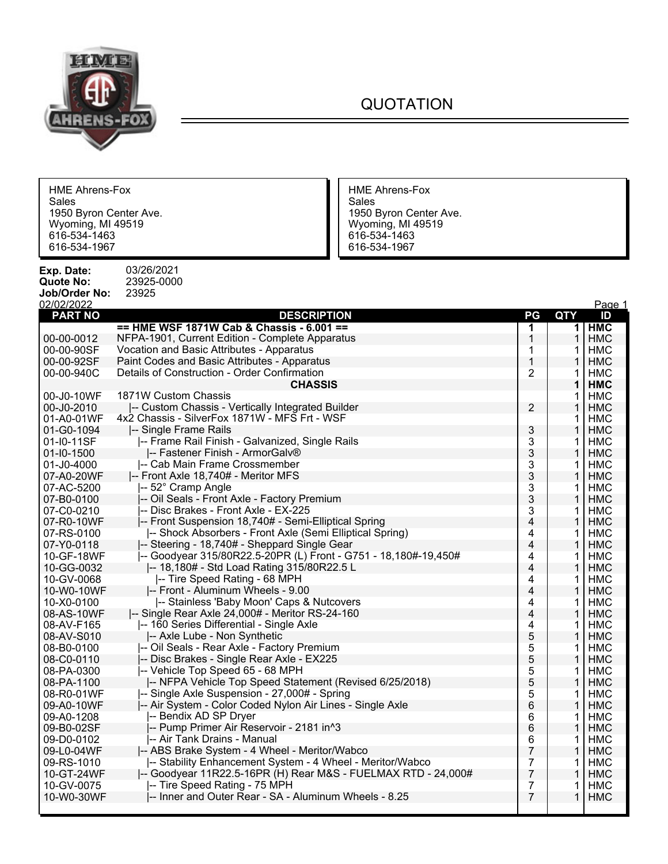

## QUOTATION

'n

| <b>HME Ahrens-Fox</b><br>Sales<br>1950 Byron Center Ave.<br>Wyoming, MI 49519<br>616-534-1463<br>616-534-1967 |                                                                 | <b>HME Ahrens-Fox</b><br>Sales<br>1950 Byron Center Ave.<br>Wyoming, MI 49519<br>616-534-1463<br>616-534-1967 |                |              |            |
|---------------------------------------------------------------------------------------------------------------|-----------------------------------------------------------------|---------------------------------------------------------------------------------------------------------------|----------------|--------------|------------|
| Exp. Date:                                                                                                    | 03/26/2021                                                      |                                                                                                               |                |              |            |
| <b>Quote No:</b>                                                                                              | 23925-0000                                                      |                                                                                                               |                |              |            |
| Job/Order No:                                                                                                 | 23925                                                           |                                                                                                               |                |              |            |
| 02/02/2022                                                                                                    |                                                                 |                                                                                                               |                |              | Page 1     |
| <b>PART NO</b>                                                                                                | <b>DESCRIPTION</b>                                              |                                                                                                               | PG             | <b>QTY</b>   | ID         |
|                                                                                                               | == HME WSF 1871W Cab & Chassis - 6.001 ==                       |                                                                                                               | 1              | $\mathbf 1$  | <b>HMC</b> |
| 00-00-0012                                                                                                    | NFPA-1901, Current Edition - Complete Apparatus                 |                                                                                                               | 1              | 1            | <b>HMC</b> |
| 00-00-90SF                                                                                                    | Vocation and Basic Attributes - Apparatus                       |                                                                                                               | 1              | 1            | <b>HMC</b> |
| 00-00-92SF                                                                                                    | Paint Codes and Basic Attributes - Apparatus                    |                                                                                                               | $\mathbf 1$    |              | <b>HMC</b> |
| 00-00-940C                                                                                                    | Details of Construction - Order Confirmation                    |                                                                                                               | 2              | 1            | <b>HMC</b> |
|                                                                                                               | <b>CHASSIS</b>                                                  |                                                                                                               |                | 1            | <b>HMC</b> |
| 00-J0-10WF                                                                                                    | 1871W Custom Chassis                                            |                                                                                                               |                | 1            | <b>HMC</b> |
| 00-J0-2010                                                                                                    | -- Custom Chassis - Vertically Integrated Builder               |                                                                                                               | $\overline{2}$ | 1            | <b>HMC</b> |
| 01-A0-01WF                                                                                                    | 4x2 Chassis - SilverFox 1871W - MFS Frt - WSF                   |                                                                                                               |                | 1            | <b>HMC</b> |
| 01-G0-1094                                                                                                    | I-- Single Frame Rails                                          |                                                                                                               | 3              | $\mathbf{1}$ | <b>HMC</b> |
| 01-I0-11SF                                                                                                    | -- Frame Rail Finish - Galvanized, Single Rails                 |                                                                                                               | 3              | 1            | <b>HMC</b> |
| 01-10-1500                                                                                                    | -- Fastener Finish - ArmorGalv®                                 |                                                                                                               | 3              | 1            | <b>HMC</b> |
| 01-J0-4000                                                                                                    | -- Cab Main Frame Crossmember                                   |                                                                                                               | 3              | 1            | <b>HMC</b> |
| 07-A0-20WF                                                                                                    | -- Front Axle 18,740# - Meritor MFS                             |                                                                                                               | 3              | $\mathbf{1}$ | <b>HMC</b> |
| 07-AC-5200                                                                                                    | I-- 52° Cramp Angle                                             |                                                                                                               | 3              | 1            | <b>HMC</b> |
| 07-B0-0100                                                                                                    | -- Oil Seals - Front Axle - Factory Premium                     |                                                                                                               | 3              | 1            | <b>HMC</b> |
| 07-C0-0210                                                                                                    | -- Disc Brakes - Front Axle - EX-225                            |                                                                                                               | 3              | 1            | <b>HMC</b> |
| 07-R0-10WF                                                                                                    | -- Front Suspension 18,740# - Semi-Elliptical Spring            |                                                                                                               | 4              | $\mathbf{1}$ | <b>HMC</b> |
| 07-RS-0100                                                                                                    | -- Shock Absorbers - Front Axle (Semi Elliptical Spring)        |                                                                                                               | 4              | 1            | <b>HMC</b> |
| 07-Y0-0118                                                                                                    | -- Steering - 18,740# - Sheppard Single Gear                    |                                                                                                               | 4              | 1            | <b>HMC</b> |
| 10-GF-18WF                                                                                                    | -- Goodyear 315/80R22.5-20PR (L) Front - G751 - 18,180#-19,450# |                                                                                                               | 4              | 1            | <b>HMC</b> |
| 10-GG-0032                                                                                                    | -- 18,180# - Std Load Rating 315/80R22.5 L                      |                                                                                                               | 4              | $\mathbf{1}$ | <b>HMC</b> |
| 10-GV-0068                                                                                                    | -- Tire Speed Rating - 68 MPH                                   |                                                                                                               | 4              | 1            | <b>HMC</b> |
| 10-W0-10WF                                                                                                    | -- Front - Aluminum Wheels - 9.00                               |                                                                                                               | 4              | 1            | <b>HMC</b> |
| 10-X0-0100                                                                                                    | -- Stainless 'Baby Moon' Caps & Nutcovers                       |                                                                                                               | 4              | 1            | <b>HMC</b> |
| 08-AS-10WF                                                                                                    | -- Single Rear Axle 24,000# - Meritor RS-24-160                 |                                                                                                               | 4              | $\mathbf{1}$ | <b>HMC</b> |
| 08-AV-F165                                                                                                    | -- 160 Series Differential - Single Axle                        |                                                                                                               | 4              | 1            | <b>HMC</b> |
| 08-AV-S010                                                                                                    | -- Axle Lube - Non Synthetic                                    |                                                                                                               | 5              | 1            | <b>HMC</b> |
| 08-B0-0100                                                                                                    | -- Oil Seals - Rear Axle - Factory Premium                      |                                                                                                               | 5              | 1            | <b>HMC</b> |
| 08-C0-0110                                                                                                    | -- Disc Brakes - Single Rear Axle - EX225                       |                                                                                                               | 5              | 1            | <b>HMC</b> |
| 08-PA-0300                                                                                                    | -- Vehicle Top Speed 65 - 68 MPH                                |                                                                                                               | 5              | 1            | <b>HMC</b> |
| 08-PA-1100                                                                                                    | I-- NFPA Vehicle Top Speed Statement (Revised 6/25/2018)        |                                                                                                               | 5              |              | <b>HMC</b> |
| 08-R0-01WF                                                                                                    | -- Single Axle Suspension - 27,000# - Spring                    |                                                                                                               | 5              | 1            | <b>HMC</b> |
| 09-A0-10WF                                                                                                    | -- Air System - Color Coded Nylon Air Lines - Single Axle       |                                                                                                               | 6              | 1            | <b>HMC</b> |
| 09-A0-1208                                                                                                    | -- Bendix AD SP Dryer                                           |                                                                                                               | 6              | 1            | HMC        |
| 09-B0-02SF                                                                                                    | -- Pump Primer Air Reservoir - 2181 in^3                        |                                                                                                               | 6              |              | <b>HMC</b> |
| 09-D0-0102                                                                                                    | -- Air Tank Drains - Manual                                     |                                                                                                               | 6              | 1            | <b>HMC</b> |
| 09-L0-04WF                                                                                                    | -- ABS Brake System - 4 Wheel - Meritor/Wabco                   |                                                                                                               | 7              | 1            | <b>HMC</b> |
| 09-RS-1010                                                                                                    | -- Stability Enhancement System - 4 Wheel - Meritor/Wabco       |                                                                                                               | 7              | 1            | HMC        |
| 10-GT-24WF                                                                                                    | -- Goodyear 11R22.5-16PR (H) Rear M&S - FUELMAX RTD - 24,000#   |                                                                                                               | 7              | 1            | <b>HMC</b> |
| 10-GV-0075                                                                                                    | -- Tire Speed Rating - 75 MPH                                   |                                                                                                               | 7              | 1            | <b>HMC</b> |

10-W0-30WF  $\left| \begin{array}{ccc} -1 \end{array} \right|$  - Inner and Outer Rear - SA - Aluminum Wheels - 8.25  $\left| \begin{array}{ccc} 7 \end{array} \right|$  7  $\left| \begin{array}{ccc} -1 \end{array} \right|$  HMC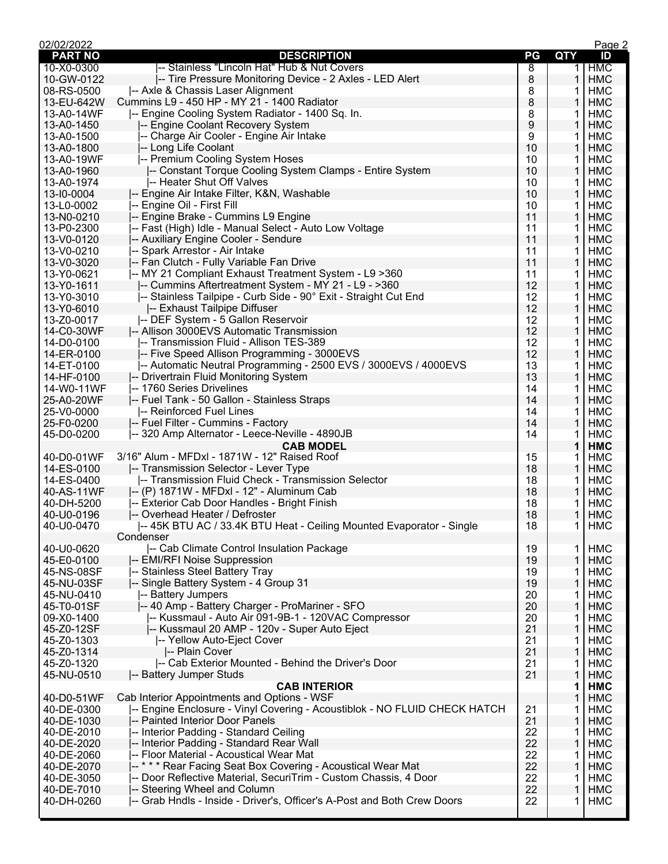| 02/02/2022     |                                                                           |                  |              | Page 2     |
|----------------|---------------------------------------------------------------------------|------------------|--------------|------------|
| <b>PART NO</b> | <b>DESCRIPTION</b>                                                        | PG               | <b>QTY</b>   | ID         |
| 10-X0-0300     | -- Stainless "Lincoln Hat" Hub & Nut Covers                               | 8                | 1            | <b>HMC</b> |
| 10-GW-0122     | -- Tire Pressure Monitoring Device - 2 Axles - LED Alert                  | 8                | 1            | <b>HMC</b> |
| 08-RS-0500     | -- Axle & Chassis Laser Alignment                                         | 8                | 1            | <b>HMC</b> |
| 13-EU-642W     | Cummins L9 - 450 HP - MY 21 - 1400 Radiator                               | 8                | 1            | <b>HMC</b> |
| 13-A0-14WF     | -- Engine Cooling System Radiator - 1400 Sq. In.                          | 8                | 1            | <b>HMC</b> |
| 13-A0-1450     | -- Engine Coolant Recovery System                                         | $\boldsymbol{9}$ | $\mathbf{1}$ | <b>HMC</b> |
| 13-A0-1500     | -- Charge Air Cooler - Engine Air Intake                                  | 9                | 1            | <b>HMC</b> |
| 13-A0-1800     | -- Long Life Coolant                                                      | 10               | 1            | <b>HMC</b> |
| 13-A0-19WF     | -- Premium Cooling System Hoses                                           | 10               | 1            | <b>HMC</b> |
| 13-A0-1960     | -- Constant Torque Cooling System Clamps - Entire System                  | 10               | 1            | <b>HMC</b> |
| 13-A0-1974     | -- Heater Shut Off Valves                                                 | 10               | 1            | <b>HMC</b> |
| 13-10-0004     | I-- Engine Air Intake Filter, K&N, Washable                               | 10               | 1            | <b>HMC</b> |
| 13-L0-0002     | -- Engine Oil - First Fill                                                | 10               | 1            | <b>HMC</b> |
| 13-N0-0210     | -- Engine Brake - Cummins L9 Engine                                       | 11               | $\mathbf{1}$ | <b>HMC</b> |
| 13-P0-2300     | -- Fast (High) Idle - Manual Select - Auto Low Voltage                    | 11               | 1            | <b>HMC</b> |
| 13-V0-0120     | -- Auxiliary Engine Cooler - Sendure                                      | 11               | 1            | <b>HMC</b> |
| 13-V0-0210     | -- Spark Arrestor - Air Intake                                            | 11               | 1            | <b>HMC</b> |
| 13-V0-3020     | -- Fan Clutch - Fully Variable Fan Drive                                  | 11               | 1            | <b>HMC</b> |
| 13-Y0-0621     | -- MY 21 Compliant Exhaust Treatment System - L9 > 360                    | 11               | 1            | <b>HMC</b> |
| 13-Y0-1611     | -- Cummins Aftertreatment System - MY 21 - L9 - >360                      | 12               | 1            | <b>HMC</b> |
| 13-Y0-3010     | -- Stainless Tailpipe - Curb Side - 90° Exit - Straight Cut End           | 12               | 1            | <b>HMC</b> |
| 13-Y0-6010     | -- Exhaust Tailpipe Diffuser                                              | 12               | $\mathbf{1}$ | <b>HMC</b> |
| 13-Z0-0017     | -- DEF System - 5 Gallon Reservoir                                        | 12               | 1            | <b>HMC</b> |
| 14-C0-30WF     | -- Allison 3000EVS Automatic Transmission                                 | 12               | 1            | <b>HMC</b> |
| 14-D0-0100     | -- Transmission Fluid - Allison TES-389                                   | 12               | 1            | <b>HMC</b> |
| 14-ER-0100     | -- Five Speed Allison Programming - 3000EVS                               | 12               | 1            | <b>HMC</b> |
| 14-ET-0100     | -- Automatic Neutral Programming - 2500 EVS / 3000EVS / 4000EVS           | 13               | 1            | <b>HMC</b> |
| 14-HF-0100     | -- Drivertrain Fluid Monitoring System                                    | 13               | 1            | <b>HMC</b> |
| 14-W0-11WF     | -- 1760 Series Drivelines                                                 | 14               | 1            | <b>HMC</b> |
| 25-A0-20WF     | -- Fuel Tank - 50 Gallon - Stainless Straps                               | 14               | $\mathbf{1}$ | <b>HMC</b> |
| 25-V0-0000     | -- Reinforced Fuel Lines                                                  | 14               | 1            | <b>HMC</b> |
| 25-F0-0200     | -- Fuel Filter - Cummins - Factory                                        | 14               | 1            | <b>HMC</b> |
| 45-D0-0200     | -- 320 Amp Alternator - Leece-Neville - 4890JB                            | 14               | 1            | <b>HMC</b> |
|                | <b>CAB MODEL</b>                                                          |                  | 1            | <b>HMC</b> |
| 40-D0-01WF     | 3/16" Alum - MFDxl - 1871W - 12" Raised Roof                              | 15               | 1            | HMC        |
| 14-ES-0100     | -- Transmission Selector - Lever Type                                     | 18               | 1            | <b>HMC</b> |
| 14-ES-0400     | -- Transmission Fluid Check - Transmission Selector                       | 18               | 1            | HMC        |
| 40-AS-11WF     | -- (P) 1871W - MFDxl - 12" - Aluminum Cab                                 | 18               | $\mathbf{1}$ | <b>HMC</b> |
| 40-DH-5200     | -- Exterior Cab Door Handles - Bright Finish                              | 18               | 1            | HMC        |
| 40-U0-0196     | -- Overhead Heater / Defroster                                            | 18               | 1            | <b>HMC</b> |
| 40-U0-0470     | -- 45K BTU AC / 33.4K BTU Heat - Ceiling Mounted Evaporator - Single      | 18               | 1.           | <b>HMC</b> |
|                | Condenser                                                                 |                  |              |            |
| 40-U0-0620     | -- Cab Climate Control Insulation Package                                 | 19               |              | <b>HMC</b> |
|                | -- EMI/RFI Noise Suppression                                              |                  | 1            |            |
| 45-E0-0100     |                                                                           | 19               | 1            | <b>HMC</b> |
| 45-NS-08SF     | -- Stainless Steel Battery Tray                                           | 19               | 1            | <b>HMC</b> |
| 45-NU-03SF     | -- Single Battery System - 4 Group 31                                     | 19               | 1            | <b>HMC</b> |
| 45-NU-0410     | -- Battery Jumpers                                                        | 20               | 1            | <b>HMC</b> |
| 45-T0-01SF     | -- 40 Amp - Battery Charger - ProMariner - SFO                            | 20               | 1            | <b>HMC</b> |
| 09-X0-1400     | -- Kussmaul - Auto Air 091-9B-1 - 120VAC Compressor                       | 20               | 1            | <b>HMC</b> |
| 45-Z0-12SF     | -- Kussmaul 20 AMP - 120v - Super Auto Eject                              | 21               | 1            | <b>HMC</b> |
| 45-Z0-1303     | -- Yellow Auto-Eject Cover                                                | 21               | 1            | <b>HMC</b> |
| 45-Z0-1314     | -- Plain Cover                                                            | 21               | 1            | <b>HMC</b> |
| 45-Z0-1320     | -- Cab Exterior Mounted - Behind the Driver's Door                        | 21               | 1            | <b>HMC</b> |
| 45-NU-0510     | -- Battery Jumper Studs                                                   | 21               | 1            | <b>HMC</b> |
|                | <b>CAB INTERIOR</b>                                                       |                  | 1            | <b>HMC</b> |
| 40-D0-51WF     | Cab Interior Appointments and Options - WSF                               |                  | 1            | <b>HMC</b> |
| 40-DE-0300     | -- Engine Enclosure - Vinyl Covering - Acoustiblok - NO FLUID CHECK HATCH | 21               | 1            | <b>HMC</b> |
| 40-DE-1030     | -- Painted Interior Door Panels                                           | 21               | 1            | <b>HMC</b> |
| 40-DE-2010     | -- Interior Padding - Standard Ceiling                                    | 22               | 1            | <b>HMC</b> |
| 40-DE-2020     | -- Interior Padding - Standard Rear Wall                                  | 22               | 1            | <b>HMC</b> |
| 40-DE-2060     | -- Floor Material - Acoustical Wear Mat                                   | 22               | 1            | <b>HMC</b> |
| 40-DE-2070     | --*** Rear Facing Seat Box Covering - Acoustical Wear Mat                 | 22               | 1            | <b>HMC</b> |
| 40-DE-3050     | -- Door Reflective Material, SecuriTrim - Custom Chassis, 4 Door          | 22               | 1            | <b>HMC</b> |
| 40-DE-7010     | -- Steering Wheel and Column                                              | 22               | 1            | <b>HMC</b> |
| 40-DH-0260     | -- Grab Hndls - Inside - Driver's, Officer's A-Post and Both Crew Doors   | 22               | 1            | HMC        |
|                |                                                                           |                  |              |            |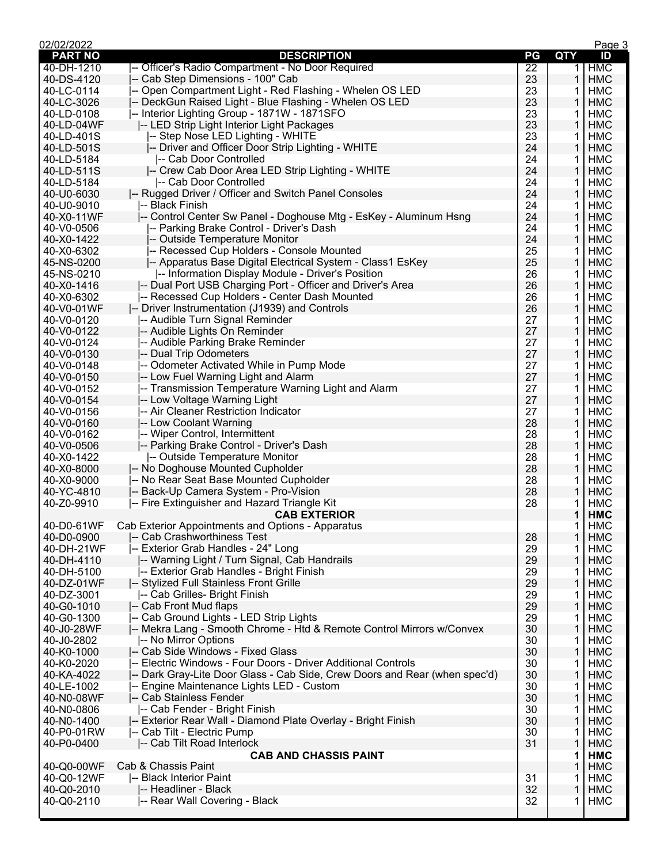| 02/02/2022     |                                                                            |                 |              | Page 3     |
|----------------|----------------------------------------------------------------------------|-----------------|--------------|------------|
| <b>PART NO</b> | <b>DESCRIPTION</b>                                                         | PG              | <b>QTY</b>   | ID         |
| 40-DH-1210     | -- Officer's Radio Compartment - No Door Required                          | $\overline{22}$ | 1            | <b>HMC</b> |
| 40-DS-4120     | -- Cab Step Dimensions - 100" Cab                                          | 23              | 1            | <b>HMC</b> |
| 40-LC-0114     | -- Open Compartment Light - Red Flashing - Whelen OS LED                   | 23              | 1            | <b>HMC</b> |
| 40-LC-3026     | -- DeckGun Raised Light - Blue Flashing - Whelen OS LED                    | 23              | 1            | <b>HMC</b> |
| 40-LD-0108     | -- Interior Lighting Group - 1871W - 1871SFO                               | 23              | 1            | <b>HMC</b> |
| 40-LD-04WF     | I-- LED Strip Light Interior Light Packages                                | 23              | $\mathbf{1}$ | <b>HMC</b> |
| 40-LD-401S     | -- Step Nose LED Lighting - WHITE                                          | 23              | 1            | <b>HMC</b> |
| 40-LD-501S     | -- Driver and Officer Door Strip Lighting - WHITE                          | 24              | 1            | <b>HMC</b> |
| 40-LD-5184     | -- Cab Door Controlled                                                     | 24              | 1            | <b>HMC</b> |
| 40-LD-511S     | -- Crew Cab Door Area LED Strip Lighting - WHITE                           | 24              | $\mathbf{1}$ | <b>HMC</b> |
| 40-LD-5184     | I-- Cab Door Controlled                                                    | 24              | 1            | <b>HMC</b> |
| 40-U0-6030     | -- Rugged Driver / Officer and Switch Panel Consoles                       | 24              | 1            | <b>HMC</b> |
| 40-U0-9010     | l-- Black Finish                                                           | 24              | 1            | <b>HMC</b> |
| 40-X0-11WF     | -- Control Center Sw Panel - Doghouse Mtg - EsKey - Aluminum Hsng          | 24              | $\mathbf{1}$ | <b>HMC</b> |
| 40-V0-0506     | -- Parking Brake Control - Driver's Dash                                   | 24              | 1            | <b>HMC</b> |
| 40-X0-1422     | -- Outside Temperature Monitor                                             | 24              | 1            | <b>HMC</b> |
| 40-X0-6302     | -- Recessed Cup Holders - Console Mounted                                  | 25              | 1            | <b>HMC</b> |
| 45-NS-0200     | -- Apparatus Base Digital Electrical System - Class1 EsKey                 | 25              | $\mathbf{1}$ | <b>HMC</b> |
| 45-NS-0210     | -- Information Display Module - Driver's Position                          | 26              | 1            | <b>HMC</b> |
| 40-X0-1416     | -- Dual Port USB Charging Port - Officer and Driver's Area                 | 26              | 1            | <b>HMC</b> |
| 40-X0-6302     | -- Recessed Cup Holders - Center Dash Mounted                              | 26              | 1            | <b>HMC</b> |
| 40-V0-01WF     | -- Driver Instrumentation (J1939) and Controls                             | 26              | $\mathbf{1}$ | <b>HMC</b> |
| 40-V0-0120     | -- Audible Turn Signal Reminder                                            | 27              | 1            | <b>HMC</b> |
| 40-V0-0122     | -- Audible Lights On Reminder                                              | 27              | 1            | <b>HMC</b> |
| 40-V0-0124     | -- Audible Parking Brake Reminder                                          | 27              | 1            | <b>HMC</b> |
| 40-V0-0130     | -- Dual Trip Odometers                                                     | 27              | 1            | <b>HMC</b> |
| 40-V0-0148     | -- Odometer Activated While in Pump Mode                                   | 27              | 1            | <b>HMC</b> |
| 40-V0-0150     | -- Low Fuel Warning Light and Alarm                                        | 27              | 1            | <b>HMC</b> |
| 40-V0-0152     | -- Transmission Temperature Warning Light and Alarm                        | 27              | 1            | <b>HMC</b> |
| 40-V0-0154     | -- Low Voltage Warning Light                                               | 27              | $\mathbf{1}$ | <b>HMC</b> |
| 40-V0-0156     | -- Air Cleaner Restriction Indicator                                       | 27              | 1            | <b>HMC</b> |
| 40-V0-0160     | -- Low Coolant Warning                                                     | 28              | 1            | <b>HMC</b> |
| 40-V0-0162     | -- Wiper Control, Intermittent                                             | 28              | 1            | <b>HMC</b> |
| 40-V0-0506     | -- Parking Brake Control - Driver's Dash                                   | 28              | $\mathbf{1}$ | <b>HMC</b> |
| 40-X0-1422     | -- Outside Temperature Monitor                                             | 28              | 1            | <b>HMC</b> |
| 40-X0-8000     | -- No Doghouse Mounted Cupholder                                           | 28              | 1            | <b>HMC</b> |
| 40-X0-9000     | -- No Rear Seat Base Mounted Cupholder                                     | 28              | 1            | HMC        |
| 40-YC-4810     | -- Back-Up Camera System - Pro-Vision                                      | 28              | $\mathbf{1}$ | <b>HMC</b> |
| 40-Z0-9910     | -- Fire Extinguisher and Hazard Triangle Kit                               | 28              | 1            | HMC        |
|                |                                                                            |                 |              |            |
|                | <b>CAB EXTERIOR</b>                                                        |                 | 1            | <b>HMC</b> |
|                | 40-D0-61WF Cab Exterior Appointments and Options - Apparatus               |                 | $\mathbf 1$  | <b>HMC</b> |
| 40-D0-0900     | -- Cab Crashworthiness Test                                                | 28              | 1            | <b>HMC</b> |
| 40-DH-21WF     | -- Exterior Grab Handles - 24" Long                                        | 29              | 1            | <b>HMC</b> |
| 40-DH-4110     | -- Warning Light / Turn Signal, Cab Handrails                              | 29              | 1            | <b>HMC</b> |
| 40-DH-5100     | -- Exterior Grab Handles - Bright Finish                                   | 29              | 1            | <b>HMC</b> |
| 40-DZ-01WF     | -- Stylized Full Stainless Front Grille                                    | 29              | 1            | <b>HMC</b> |
| 40-DZ-3001     | -- Cab Grilles- Bright Finish                                              | 29              | 1            | <b>HMC</b> |
| 40-G0-1010     | -- Cab Front Mud flaps                                                     | 29              | 1            | <b>HMC</b> |
| 40-G0-1300     | -- Cab Ground Lights - LED Strip Lights                                    | 29              | 1            | <b>HMC</b> |
| 40-J0-28WF     | -- Mekra Lang - Smooth Chrome - Htd & Remote Control Mirrors w/Convex      | 30              | 1            | <b>HMC</b> |
| 40-J0-2802     | -- No Mirror Options                                                       | 30              | 1            | <b>HMC</b> |
| 40-K0-1000     | -- Cab Side Windows - Fixed Glass                                          | 30              | 1            | <b>HMC</b> |
| 40-K0-2020     | -- Electric Windows - Four Doors - Driver Additional Controls              | 30              | 1            | <b>HMC</b> |
| 40-KA-4022     | -- Dark Gray-Lite Door Glass - Cab Side, Crew Doors and Rear (when spec'd) | 30              | 1            | <b>HMC</b> |
| 40-LE-1002     | -- Engine Maintenance Lights LED - Custom                                  | 30              | 1            | <b>HMC</b> |
| 40-N0-08WF     | -- Cab Stainless Fender                                                    | 30              | 1            | <b>HMC</b> |
| 40-N0-0806     | -- Cab Fender - Bright Finish                                              | 30              | 1            | HMC        |
| 40-N0-1400     | -- Exterior Rear Wall - Diamond Plate Overlay - Bright Finish              | 30              | 1            | <b>HMC</b> |
| 40-P0-01RW     | -- Cab Tilt - Electric Pump                                                | 30              | 1            | <b>HMC</b> |
| 40-P0-0400     | -- Cab Tilt Road Interlock                                                 | 31              | 1            | <b>HMC</b> |
|                | <b>CAB AND CHASSIS PAINT</b>                                               |                 | 1            | <b>HMC</b> |
| 40-Q0-00WF     | Cab & Chassis Paint                                                        |                 | 1            | <b>HMC</b> |
| 40-Q0-12WF     | -- Black Interior Paint                                                    | 31              | 1            | HMC        |
| 40-Q0-2010     | -- Headliner - Black                                                       | 32              | 1            | <b>HMC</b> |
| 40-Q0-2110     | -- Rear Wall Covering - Black                                              | 32              | 1            | <b>HMC</b> |
|                |                                                                            |                 |              |            |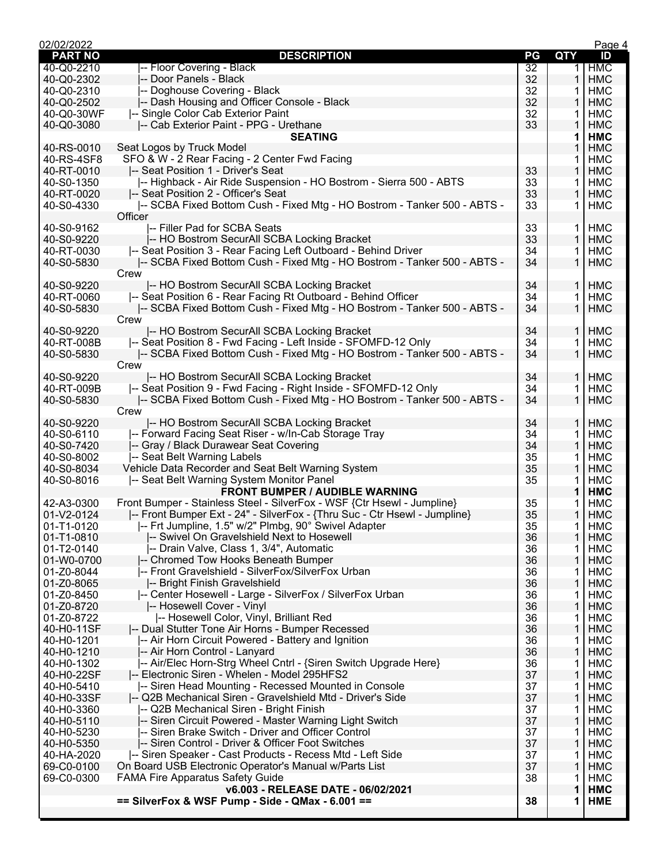| 02/02/2022     |                                                                           |    |            | Page 4     |
|----------------|---------------------------------------------------------------------------|----|------------|------------|
| <b>PART NO</b> | <b>DESCRIPTION</b>                                                        | PG | <b>QTY</b> | ID         |
| 40-Q0-2210     | -- Floor Covering - Black                                                 | 32 | 1          | <b>HMC</b> |
| 40-Q0-2302     | -- Door Panels - Black                                                    | 32 | 1          | <b>HMC</b> |
| 40-Q0-2310     | -- Doghouse Covering - Black                                              | 32 | 1          | HMC        |
| 40-Q0-2502     | -- Dash Housing and Officer Console - Black                               | 32 | 1          | <b>HMC</b> |
| 40-Q0-30WF     | -- Single Color Cab Exterior Paint                                        | 32 | 1          | <b>HMC</b> |
|                |                                                                           |    |            |            |
| 40-Q0-3080     | -- Cab Exterior Paint - PPG - Urethane                                    | 33 | 1          | <b>HMC</b> |
|                | <b>SEATING</b>                                                            |    | 1          | <b>HMC</b> |
| 40-RS-0010     | Seat Logos by Truck Model                                                 |    |            | <b>HMC</b> |
| 40-RS-4SF8     | SFO & W - 2 Rear Facing - 2 Center Fwd Facing                             |    | 1          | <b>HMC</b> |
| 40-RT-0010     | -- Seat Position 1 - Driver's Seat                                        | 33 | 1          | <b>HMC</b> |
| 40-S0-1350     | -- Highback - Air Ride Suspension - HO Bostrom - Sierra 500 - ABTS        | 33 | 1          | HMC        |
| 40-RT-0020     | -- Seat Position 2 - Officer's Seat                                       | 33 | 1          | <b>HMC</b> |
| 40-S0-4330     | -- SCBA Fixed Bottom Cush - Fixed Mtg - HO Bostrom - Tanker 500 - ABTS -  | 33 | 1          | HMC        |
|                | Officer                                                                   |    |            |            |
|                |                                                                           |    |            |            |
| 40-S0-9162     | I-- Filler Pad for SCBA Seats                                             | 33 | 1          | HMC        |
| 40-S0-9220     | -- HO Bostrom SecurAll SCBA Locking Bracket                               | 33 | 1          | <b>HMC</b> |
| 40-RT-0030     | -- Seat Position 3 - Rear Facing Left Outboard - Behind Driver            | 34 | 1          | HMC        |
| 40-S0-5830     | - SCBA Fixed Bottom Cush - Fixed Mtg - HO Bostrom - Tanker 500 - ABTS -   | 34 | 1          | <b>HMC</b> |
|                | Crew                                                                      |    |            |            |
| 40-S0-9220     | -- HO Bostrom SecurAll SCBA Locking Bracket                               | 34 | 1          | <b>HMC</b> |
| 40-RT-0060     | -- Seat Position 6 - Rear Facing Rt Outboard - Behind Officer             | 34 | 1          | HMC        |
| 40-S0-5830     | - SCBA Fixed Bottom Cush - Fixed Mtg - HO Bostrom - Tanker 500 - ABTS -   | 34 | 1          |            |
|                |                                                                           |    |            | <b>HMC</b> |
|                | Crew                                                                      |    |            |            |
| 40-S0-9220     | -- HO Bostrom SecurAll SCBA Locking Bracket                               | 34 | 1          | <b>HMC</b> |
| 40-RT-008B     | -- Seat Position 8 - Fwd Facing - Left Inside - SFOMFD-12 Only            | 34 | 1          | HMC        |
| 40-S0-5830     | - SCBA Fixed Bottom Cush - Fixed Mtg - HO Bostrom - Tanker 500 - ABTS -   | 34 | 1          | <b>HMC</b> |
|                | Crew                                                                      |    |            |            |
| 40-S0-9220     | -- HO Bostrom SecurAll SCBA Locking Bracket                               | 34 | 1          | <b>HMC</b> |
| 40-RT-009B     | -- Seat Position 9 - Fwd Facing - Right Inside - SFOMFD-12 Only           | 34 | 1          | HMC        |
| 40-S0-5830     | - SCBA Fixed Bottom Cush - Fixed Mtg - HO Bostrom - Tanker 500 - ABTS -   | 34 | 1          | <b>HMC</b> |
|                |                                                                           |    |            |            |
|                | Crew                                                                      |    |            |            |
| 40-S0-9220     | -- HO Bostrom SecurAll SCBA Locking Bracket                               | 34 | 1          | <b>HMC</b> |
| 40-S0-6110     | -- Forward Facing Seat Riser - w/In-Cab Storage Tray                      | 34 | 1          | HMC        |
| 40-S0-7420     | -- Gray / Black Durawear Seat Covering                                    | 34 | 1          | <b>HMC</b> |
| 40-S0-8002     | -- Seat Belt Warning Labels                                               | 35 | 1          | HMC        |
| 40-S0-8034     | Vehicle Data Recorder and Seat Belt Warning System                        | 35 | 1          | <b>HMC</b> |
| 40-S0-8016     | -- Seat Belt Warning System Monitor Panel                                 | 35 | 1          | HMC        |
|                | <b>FRONT BUMPER / AUDIBLE WARNING</b>                                     |    | 1          | <b>HMC</b> |
|                | Front Bumper - Stainless Steel - SilverFox - WSF {Ctr Hsewl - Jumpline}   |    |            |            |
| 42-A3-0300     |                                                                           | 35 | 1          | HMC        |
| 01-V2-0124     | -- Front Bumper Ext - 24" - SilverFox - {Thru Suc - Ctr Hsewl - Jumpline} | 35 | 1          | <b>HMC</b> |
| 01-T1-0120     | -- Frt Jumpline, 1.5" w/2" Plmbg, 90° Swivel Adapter                      | 35 | 1.         | <b>HMC</b> |
| 01-T1-0810     | -- Swivel On Gravelshield Next to Hosewell                                | 36 | 1          | <b>HMC</b> |
| 01-T2-0140     | -- Drain Valve, Class 1, 3/4", Automatic                                  | 36 | 1          | HMC        |
| 01-W0-0700     | -- Chromed Tow Hooks Beneath Bumper                                       | 36 | 1          | <b>HMC</b> |
| 01-Z0-8044     | -- Front Gravelshield - SilverFox/SilverFox Urban                         | 36 | 1          | <b>HMC</b> |
| 01-Z0-8065     | -- Bright Finish Gravelshield                                             | 36 | 1          | <b>HMC</b> |
| 01-Z0-8450     | -- Center Hosewell - Large - SilverFox / SilverFox Urban                  | 36 | 1          | <b>HMC</b> |
| 01-Z0-8720     | -- Hosewell Cover - Vinyl                                                 | 36 | 1          | <b>HMC</b> |
|                |                                                                           |    |            |            |
| 01-Z0-8722     | -- Hosewell Color, Vinyl, Brilliant Red                                   | 36 | 1          | <b>HMC</b> |
| 40-H0-11SF     | -- Dual Stutter Tone Air Horns - Bumper Recessed                          | 36 | 1          | <b>HMC</b> |
| 40-H0-1201     | -- Air Horn Circuit Powered - Battery and Ignition                        | 36 | 1          | <b>HMC</b> |
| 40-H0-1210     | -- Air Horn Control - Lanyard                                             | 36 | 1          | <b>HMC</b> |
| 40-H0-1302     | -- Air/Elec Horn-Strg Wheel Cntrl - {Siren Switch Upgrade Here}           | 36 | 1          | <b>HMC</b> |
| 40-H0-22SF     | -- Electronic Siren - Whelen - Model 295HFS2                              | 37 | 1          | <b>HMC</b> |
| 40-H0-5410     | -- Siren Head Mounting - Recessed Mounted in Console                      | 37 | 1          | <b>HMC</b> |
| 40-H0-33SF     | -- Q2B Mechanical Siren - Gravelshield Mtd - Driver's Side                | 37 | 1          | <b>HMC</b> |
| 40-H0-3360     | -- Q2B Mechanical Siren - Bright Finish                                   | 37 | 1          | <b>HMC</b> |
|                |                                                                           |    |            |            |
| 40-H0-5110     | -- Siren Circuit Powered - Master Warning Light Switch                    | 37 | 1          | <b>HMC</b> |
| 40-H0-5230     | -- Siren Brake Switch - Driver and Officer Control                        | 37 | 1          | <b>HMC</b> |
| 40-H0-5350     | -- Siren Control - Driver & Officer Foot Switches                         | 37 | 1          | <b>HMC</b> |
| 40-HA-2020     | -- Siren Speaker - Cast Products - Recess Mtd - Left Side                 | 37 | 1          | <b>HMC</b> |
| 69-C0-0100     | On Board USB Electronic Operator's Manual w/Parts List                    | 37 | 1          | <b>HMC</b> |
| 69-C0-0300     | <b>FAMA Fire Apparatus Safety Guide</b>                                   | 38 | 1          | HMC        |
|                | v6.003 - RELEASE DATE - 06/02/2021                                        |    | 1          | <b>HMC</b> |
|                | $==$ SilverFox & WSF Pump - Side - QMax - 6.001 ==                        | 38 | 1          | <b>HME</b> |
|                |                                                                           |    |            |            |
|                |                                                                           |    |            |            |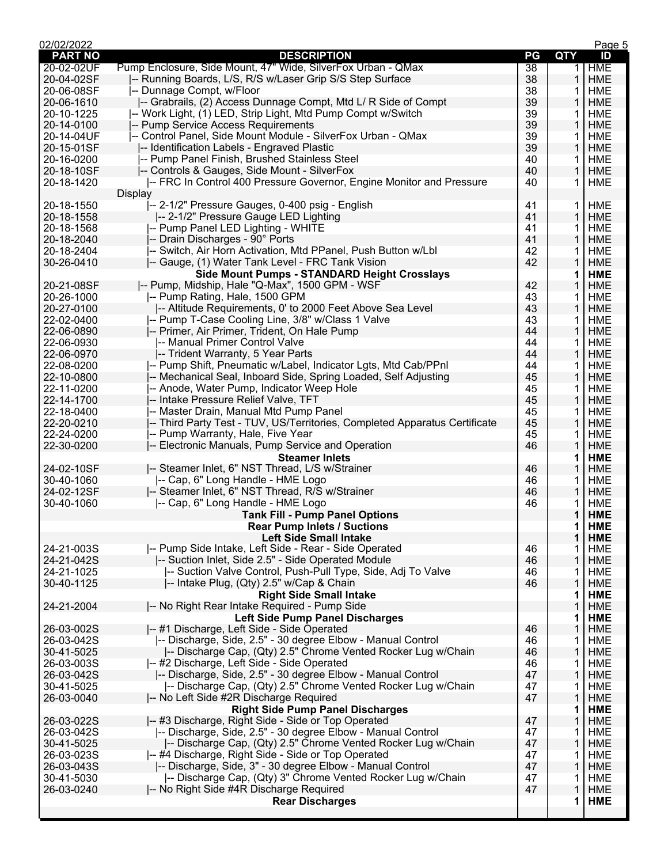| 02/02/2022               |                                                                            |    |             | Page 5     |
|--------------------------|----------------------------------------------------------------------------|----|-------------|------------|
| <b>PART NO</b>           | <b>DESCRIPTION</b>                                                         | PG | <b>QTY</b>  | ID         |
| 20-02-02UF               | Pump Enclosure, Side Mount, 47" Wide, SilverFox Urban - QMax               | 38 | $\mathbf 1$ | <b>HME</b> |
| 20-04-02SF               | -- Running Boards, L/S, R/S w/Laser Grip S/S Step Surface                  | 38 | 1           | <b>HME</b> |
| 20-06-08SF               | -- Dunnage Compt, w/Floor                                                  | 38 | 1           | <b>HME</b> |
| 20-06-1610               | -- Grabrails, (2) Access Dunnage Compt, Mtd L/ R Side of Compt             | 39 | 1           | <b>HME</b> |
| 20-10-1225               | -- Work Light, (1) LED, Strip Light, Mtd Pump Compt w/Switch               | 39 | 1           | <b>HME</b> |
| 20-14-0100               | -- Pump Service Access Requirements                                        | 39 | 1           | <b>HME</b> |
| 20-14-04UF               | -- Control Panel, Side Mount Module - SilverFox Urban - QMax               | 39 | 1           | <b>HME</b> |
| 20-15-01SF               | -- Identification Labels - Engraved Plastic                                | 39 | 1           | <b>HME</b> |
| 20-16-0200               | -- Pump Panel Finish, Brushed Stainless Steel                              | 40 | 1           | <b>HME</b> |
| 20-18-10SF               | -- Controls & Gauges, Side Mount - SilverFox                               | 40 | 1           | <b>HME</b> |
| 20-18-1420               | -- FRC In Control 400 Pressure Governor, Engine Monitor and Pressure       | 40 | 1           | <b>HME</b> |
|                          | Display                                                                    |    |             |            |
| 20-18-1550               | -- 2-1/2" Pressure Gauges, 0-400 psig - English                            | 41 | 1           | HME        |
| 20-18-1558               | -- 2-1/2" Pressure Gauge LED Lighting                                      | 41 | 1           | <b>HME</b> |
| 20-18-1568               | -- Pump Panel LED Lighting - WHITE                                         | 41 | 1           | <b>HME</b> |
| 20-18-2040               |                                                                            | 41 | 1           | <b>HME</b> |
|                          | -- Drain Discharges - 90° Ports                                            |    |             |            |
| 20-18-2404               | -- Switch, Air Horn Activation, Mtd PPanel, Push Button w/Lbl              | 42 | 1           | <b>HME</b> |
| 30-26-0410               | -- Gauge, (1) Water Tank Level - FRC Tank Vision                           | 42 | 1           | <b>HME</b> |
|                          | Side Mount Pumps - STANDARD Height Crosslays                               |    | 1           | <b>HME</b> |
| 20-21-08SF               | -- Pump, Midship, Hale "Q-Max", 1500 GPM - WSF                             | 42 | 1           | <b>HME</b> |
| 20-26-1000               | -- Pump Rating, Hale, 1500 GPM                                             | 43 | 1           | <b>HME</b> |
| 20-27-0100               | -- Altitude Requirements, 0' to 2000 Feet Above Sea Level                  | 43 | 1           | <b>HME</b> |
| 22-02-0400               | -- Pump T-Case Cooling Line, 3/8" w/Class 1 Valve                          | 43 | 1           | <b>HME</b> |
| 22-06-0890               | -- Primer, Air Primer, Trident, On Hale Pump                               | 44 | 1           | <b>HME</b> |
| 22-06-0930               | I-- Manual Primer Control Valve                                            | 44 | 1           | <b>HME</b> |
| 22-06-0970               | -- Trident Warranty, 5 Year Parts                                          | 44 | 1           | <b>HME</b> |
| 22-08-0200               | -- Pump Shift, Pneumatic w/Label, Indicator Lgts, Mtd Cab/PPnl             | 44 | 1           | <b>HME</b> |
| 22-10-0800               | -- Mechanical Seal, Inboard Side, Spring Loaded, Self Adjusting            | 45 | 1           | <b>HME</b> |
| 22-11-0200               | -- Anode, Water Pump, Indicator Weep Hole                                  | 45 | 1           | <b>HME</b> |
| 22-14-1700               | -- Intake Pressure Relief Valve, TFT                                       | 45 | 1           | <b>HME</b> |
| 22-18-0400               | -- Master Drain, Manual Mtd Pump Panel                                     | 45 | 1           | <b>HME</b> |
| 22-20-0210               | -- Third Party Test - TUV, US/Territories, Completed Apparatus Certificate | 45 | 1           | <b>HME</b> |
| 22-24-0200               | -- Pump Warranty, Hale, Five Year                                          | 45 | 1           | <b>HME</b> |
| 22-30-0200               | -- Electronic Manuals, Pump Service and Operation                          | 46 | 1           | <b>HME</b> |
|                          | <b>Steamer Inlets</b>                                                      |    | 1           | <b>HME</b> |
| 24-02-10SF               | -- Steamer Inlet, 6" NST Thread, L/S w/Strainer                            | 46 | 1           | <b>HME</b> |
| 30-40-1060               | -- Cap, 6" Long Handle - HME Logo                                          | 46 | 1           | HME        |
| 24-02-12SF               | -- Steamer Inlet, 6" NST Thread, R/S w/Strainer                            | 46 | 1           | <b>HME</b> |
| 30-40-1060               | -- Cap, 6" Long Handle - HME Logo                                          | 46 | 1           | <b>HME</b> |
|                          | <b>Tank Fill - Pump Panel Options</b>                                      |    | 1           | <b>HME</b> |
|                          |                                                                            |    | 1           | <b>HME</b> |
|                          | <b>Rear Pump Inlets / Suctions</b><br><b>Left Side Small Intake</b>        |    | 1           |            |
|                          | -- Pump Side Intake, Left Side - Rear - Side Operated                      | 46 |             | <b>HME</b> |
| 24-21-003S               |                                                                            |    | 1           | HME        |
| 24-21-042S<br>24-21-1025 | -- Suction Inlet, Side 2.5" - Side Operated Module                         | 46 | 1           | <b>HME</b> |
|                          | -- Suction Valve Control, Push-Pull Type, Side, Adj To Valve               | 46 | 1           | HME        |
| 30-40-1125               | -- Intake Plug, (Qty) 2.5" w/Cap & Chain                                   | 46 |             | <b>HME</b> |
|                          | <b>Right Side Small Intake</b>                                             |    | 1           | <b>HME</b> |
| 24-21-2004               | -- No Right Rear Intake Required - Pump Side                               |    | 1           | <b>HME</b> |
|                          | <b>Left Side Pump Panel Discharges</b>                                     |    | 1           | <b>HME</b> |
| 26-03-002S               | -- #1 Discharge, Left Side - Side Operated                                 | 46 |             | <b>HME</b> |
| 26-03-042S               | -- Discharge, Side, 2.5" - 30 degree Elbow - Manual Control                | 46 | 1           | <b>HME</b> |
| 30-41-5025               | -- Discharge Cap, (Qty) 2.5" Chrome Vented Rocker Lug w/Chain              | 46 | 1           | <b>HME</b> |
| 26-03-003S               | -- #2 Discharge, Left Side - Side Operated                                 | 46 | 1           | HME        |
| 26-03-042S               | -- Discharge, Side, 2.5" - 30 degree Elbow - Manual Control                | 47 | 1           | <b>HME</b> |
| 30-41-5025               | -- Discharge Cap, (Qty) 2.5" Chrome Vented Rocker Lug w/Chain              | 47 | 1           | <b>HME</b> |
| 26-03-0040               | -- No Left Side #2R Discharge Required                                     | 47 | 1           | <b>HME</b> |
|                          | <b>Right Side Pump Panel Discharges</b>                                    |    | 1           | <b>HME</b> |
| 26-03-022S               | -- #3 Discharge, Right Side - Side or Top Operated                         | 47 | 1           | HME        |
| 26-03-042S               | -- Discharge, Side, 2.5" - 30 degree Elbow - Manual Control                | 47 | 1           | <b>HME</b> |
| 30-41-5025               | -- Discharge Cap, (Qty) 2.5" Chrome Vented Rocker Lug w/Chain              | 47 | 1           | <b>HME</b> |
| 26-03-023S               | -- #4 Discharge, Right Side - Side or Top Operated                         | 47 | 1           | HME        |
| 26-03-043S               | -- Discharge, Side, 3" - 30 degree Elbow - Manual Control                  | 47 | 1           | <b>HME</b> |
| 30-41-5030               | -- Discharge Cap, (Qty) 3" Chrome Vented Rocker Lug w/Chain                | 47 | 1           | <b>HME</b> |
| 26-03-0240               | -- No Right Side #4R Discharge Required                                    | 47 | 1           | <b>HME</b> |
|                          | <b>Rear Discharges</b>                                                     |    | 1           | <b>HME</b> |
|                          |                                                                            |    |             |            |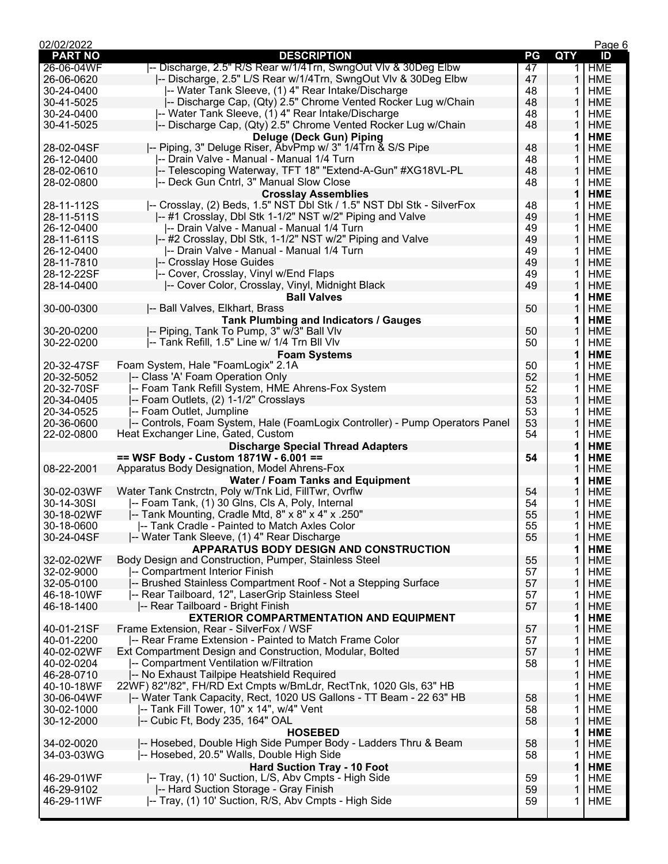| 02/02/2022               |                                                                                               |          |            | Page 6                   |
|--------------------------|-----------------------------------------------------------------------------------------------|----------|------------|--------------------------|
| <b>PART NO</b>           | <b>DESCRIPTION</b>                                                                            | PG       | <b>QTY</b> | ID                       |
| 26-06-04WF               | -- Discharge, 2.5" R/S Rear w/1/4Trn, SwngOut VIv & 30Deg Elbw                                | 47       | 1          | <b>HME</b>               |
| 26-06-0620               | -- Discharge, 2.5" L/S Rear w/1/4Trn, SwngOut VIv & 30Deg Elbw                                | 47       | 1          | <b>HME</b>               |
| 30-24-0400               | -- Water Tank Sleeve, (1) 4" Rear Intake/Discharge                                            | 48       | 1          | <b>HME</b>               |
| 30-41-5025               | -- Discharge Cap, (Qty) 2.5" Chrome Vented Rocker Lug w/Chain                                 | 48       | 1          | <b>HME</b>               |
| 30-24-0400               | -- Water Tank Sleeve, (1) 4" Rear Intake/Discharge                                            | 48       | 1          | <b>HME</b>               |
| 30-41-5025               | -- Discharge Cap, (Qty) 2.5" Chrome Vented Rocker Lug w/Chain                                 | 48       | 1          | <b>HME</b>               |
|                          | <b>Deluge (Deck Gun) Piping</b>                                                               |          | 1          | <b>HME</b>               |
| 28-02-04SF               | -- Piping, 3" Deluge Riser, AbvPmp w/ 3" 1/4Trn & S/S Pipe                                    | 48       | 1          | <b>HME</b>               |
| 26-12-0400               | -- Drain Valve - Manual - Manual 1/4 Turn                                                     | 48       | 1          | <b>HME</b>               |
| 28-02-0610               | -- Telescoping Waterway, TFT 18" "Extend-A-Gun" #XG18VL-PL                                    | 48       | 1          | <b>HME</b>               |
| 28-02-0800               | -- Deck Gun Cntrl, 3" Manual Slow Close                                                       | 48       | 1          | <b>HME</b>               |
|                          | <b>Crosslay Assemblies</b>                                                                    |          | 1          | <b>HME</b>               |
| 28-11-112S               | -- Crosslay, (2) Beds, 1.5" NST Dbl Stk / 1.5" NST Dbl Stk - SilverFox                        | 48       | 1          | <b>HME</b>               |
| 28-11-511S               | -- #1 Crosslay, Dbl Stk 1-1/2" NST w/2" Piping and Valve                                      | 49       | 1          | <b>HME</b>               |
| 26-12-0400               | -- Drain Valve - Manual - Manual 1/4 Turn                                                     | 49       | 1          | <b>HME</b>               |
| 28-11-611S               | -- #2 Crosslay, Dbl Stk, 1-1/2" NST w/2" Piping and Valve                                     | 49       | 1          | <b>HME</b>               |
| 26-12-0400               | -- Drain Valve - Manual - Manual 1/4 Turn<br>-- Crosslay Hose Guides                          | 49       | 1          | <b>HME</b>               |
| 28-11-7810               |                                                                                               | 49       | 1          | <b>HME</b>               |
| 28-12-22SF               | -- Cover, Crosslay, Vinyl w/End Flaps                                                         | 49       | 1          | <b>HME</b>               |
| 28-14-0400               | -- Cover Color, Crosslay, Vinyl, Midnight Black                                               | 49       | 1          | <b>HME</b>               |
| 30-00-0300               | <b>Ball Valves</b><br>-- Ball Valves, Elkhart, Brass                                          | 50       | 1<br>1     | <b>HME</b><br><b>HME</b> |
|                          |                                                                                               |          |            |                          |
| 30-20-0200               | Tank Plumbing and Indicators / Gauges<br> -- Piping, Tank To Pump, 3" w/̄3" Ball Vlv          | 50       | 1<br>1     | <b>HME</b><br><b>HME</b> |
| 30-22-0200               | -- Tank Refill, 1.5" Line w/ 1/4 Trn Bll VIv                                                  | 50       | 1          | <b>HME</b>               |
|                          |                                                                                               |          | 1          | <b>HME</b>               |
| 20-32-47SF               | <b>Foam Systems</b><br>Foam System, Hale "FoamLogix" 2.1A                                     | 50       | 1          | <b>HME</b>               |
| 20-32-5052               | -- Class 'A' Foam Operation Only                                                              | 52       | 1          | <b>HME</b>               |
| 20-32-70SF               | -- Foam Tank Refill System, HME Ahrens-Fox System                                             | 52       | 1          | <b>HME</b>               |
| 20-34-0405               | -- Foam Outlets, (2) 1-1/2" Crosslays                                                         | 53       | 1          | <b>HME</b>               |
| 20-34-0525               | -- Foam Outlet, Jumpline                                                                      | 53       | 1          | <b>HME</b>               |
| 20-36-0600               | -- Controls, Foam System, Hale (FoamLogix Controller) - Pump Operators Panel                  | 53       | 1          | <b>HME</b>               |
| 22-02-0800               | Heat Exchanger Line, Gated, Custom                                                            | 54       | 1          | <b>HME</b>               |
|                          | <b>Discharge Special Thread Adapters</b>                                                      |          | 1          | <b>HME</b>               |
|                          | == WSF Body - Custom 1871W - 6.001 ==                                                         | 54       | 1          | <b>HME</b>               |
| 08-22-2001               | Apparatus Body Designation, Model Ahrens-Fox                                                  |          | 1          | <b>HME</b>               |
|                          | <b>Water / Foam Tanks and Equipment</b>                                                       |          | 1          | <b>HME</b>               |
| 30-02-03WF               | Water Tank Cnstrctn, Poly w/Tnk Lid, FillTwr, Ovrflw                                          | 54       | 1          | HME                      |
| 30-14-30SI               | -- Foam Tank, (1) 30 Glns, Cls A, Poly, Internal                                              | 54       | 1          | <b>HME</b>               |
| 30-18-02WF               | -- Tank Mounting, Cradle Mtd, 8" x 8" x 4" x .250"                                            | 55       | 1          | <b>HME</b>               |
| 30-18-0600               | -- Tank Cradle - Painted to Match Axles Color                                                 | 55       | 1.         | <b>HME</b>               |
| 30-24-04SF               | -- Water Tank Sleeve, (1) 4" Rear Discharge                                                   | 55       | 1          | <b>HME</b>               |
|                          | APPARATUS BODY DESIGN AND CONSTRUCTION                                                        |          | 1          | <b>HME</b>               |
| 32-02-02WF               | Body Design and Construction, Pumper, Stainless Steel                                         | 55       | 1          | <b>HME</b>               |
| 32-02-9000               | -- Compartment Interior Finish                                                                | 57       | 1          | <b>HME</b>               |
| 32-05-0100               | -- Brushed Stainless Compartment Roof - Not a Stepping Surface                                | 57       | 1          | <b>HME</b>               |
| 46-18-10WF               | -- Rear Tailboard, 12", LaserGrip Stainless Steel                                             | 57       | 1          | <b>HME</b>               |
| 46-18-1400               | -- Rear Tailboard - Bright Finish                                                             | 57       | 1          | <b>HME</b>               |
|                          | <b>EXTERIOR COMPARTMENTATION AND EQUIPMENT</b>                                                |          | 1          | <b>HME</b>               |
| 40-01-21SF               | Frame Extension, Rear - SilverFox / WSF                                                       | 57       | 1          | <b>HME</b>               |
| 40-01-2200               | -- Rear Frame Extension - Painted to Match Frame Color                                        | 57       | 1          | <b>HME</b>               |
| 40-02-02WF               | Ext Compartment Design and Construction, Modular, Bolted                                      | 57       | 1          | <b>HME</b>               |
| 40-02-0204               | -- Compartment Ventilation w/Filtration                                                       | 58       | 1          | <b>HME</b>               |
| 46-28-0710               | -- No Exhaust Tailpipe Heatshield Required                                                    |          | 1          | <b>HME</b>               |
| 40-10-18WF               | 22WF) 82"/82", FH/RD Ext Cmpts w/BmLdr, RectTnk, 1020 Gls, 63" HB                             |          | 1          | <b>HME</b>               |
| 30-06-04WF               | -- Water Tank Capacity, Rect, 1020 US Gallons - TT Beam - 22 63" HB                           | 58       | 1          | <b>HME</b>               |
| 30-02-1000               | -- Tank Fill Tower, 10" x 14", w/4" Vent                                                      | 58       | 1          | <b>HME</b>               |
| 30-12-2000               | -- Cubic Ft, Body 235, 164" OAL                                                               | 58       | 1          | <b>HME</b>               |
|                          | <b>HOSEBED</b>                                                                                |          | 1          | <b>HME</b>               |
| 34-02-0020               | -- Hosebed, Double High Side Pumper Body - Ladders Thru & Beam                                | 58       | 1          | <b>HME</b>               |
| 34-03-03WG               | -- Hosebed, 20.5" Walls, Double High Side                                                     | 58       | 1          | <b>HME</b>               |
|                          | <b>Hard Suction Tray - 10 Foot</b>                                                            |          | 1          | <b>HME</b>               |
| 46-29-01WF               | -- Tray, (1) 10' Suction, L/S, Abv Cmpts - High Side                                          | 59       | 1          | <b>HME</b>               |
| 46-29-9102<br>46-29-11WF | -- Hard Suction Storage - Gray Finish<br>-- Tray, (1) 10' Suction, R/S, Abv Cmpts - High Side | 59<br>59 | 1<br>1     | <b>HME</b><br><b>HME</b> |
|                          |                                                                                               |          |            |                          |
|                          |                                                                                               |          |            |                          |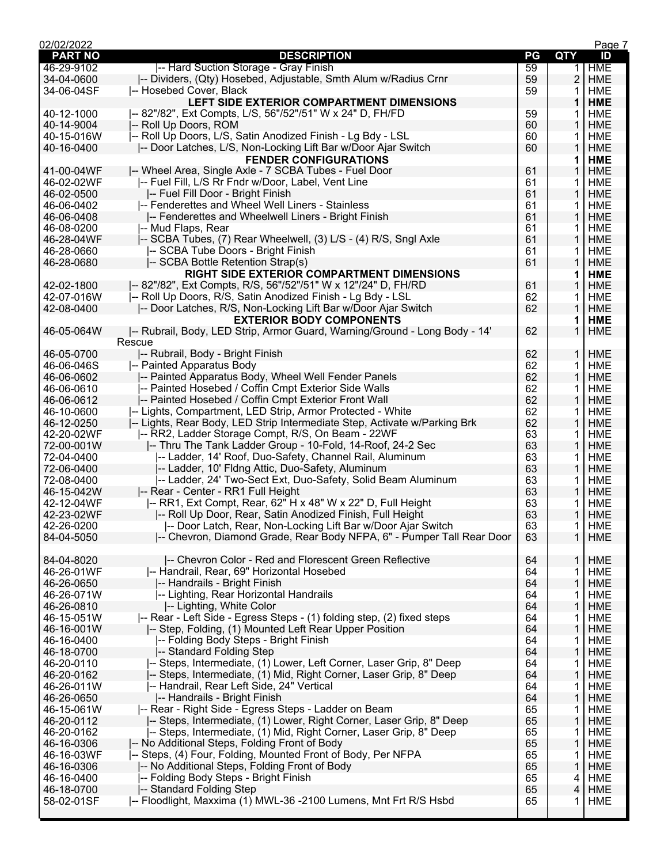| 02/02/2022     |                                                                            |    |                | Page 7     |
|----------------|----------------------------------------------------------------------------|----|----------------|------------|
| <b>PART NO</b> | <b>DESCRIPTION</b>                                                         | PG | <b>QTY</b>     | ID         |
| 46-29-9102     | -- Hard Suction Storage - Gray Finish                                      | 59 | 1.             | <b>HME</b> |
| 34-04-0600     | -- Dividers, (Qty) Hosebed, Adjustable, Smth Alum w/Radius Crnr            | 59 | $\overline{2}$ | <b>HME</b> |
| 34-06-04SF     | -- Hosebed Cover, Black                                                    | 59 | 1              | <b>HME</b> |
|                | LEFT SIDE EXTERIOR COMPARTMENT DIMENSIONS                                  |    | 1              | <b>HME</b> |
| 40-12-1000     | -- 82"/82", Ext Compts, L/S, 56"/52"/51" W x 24" D, FH/FD                  | 59 | 1              | <b>HME</b> |
| 40-14-9004     | -- Roll Up Doors, ROM                                                      | 60 | 1              | <b>HME</b> |
| 40-15-016W     | -- Roll Up Doors, L/S, Satin Anodized Finish - Lg Bdy - LSL                | 60 | 1              | <b>HME</b> |
| 40-16-0400     | -- Door Latches, L/S, Non-Locking Lift Bar w/Door Ajar Switch              | 60 | 1              | <b>HME</b> |
|                | <b>FENDER CONFIGURATIONS</b>                                               |    | 1              | <b>HME</b> |
| 41-00-04WF     | -- Wheel Area, Single Axle - 7 SCBA Tubes - Fuel Door                      | 61 | 1              | <b>HME</b> |
| 46-02-02WF     | -- Fuel Fill, L/S Rr Fndr w/Door, Label, Vent Line                         | 61 | 1              | <b>HME</b> |
| 46-02-0500     | -- Fuel Fill Door - Bright Finish                                          | 61 | 1              | <b>HME</b> |
| 46-06-0402     | -- Fenderettes and Wheel Well Liners - Stainless                           | 61 | 1              | <b>HME</b> |
| 46-06-0408     | -- Fenderettes and Wheelwell Liners - Bright Finish                        | 61 | 1              | <b>HME</b> |
| 46-08-0200     | -- Mud Flaps, Rear                                                         | 61 |                | <b>HME</b> |
|                |                                                                            |    | 1              |            |
| 46-28-04WF     | -- SCBA Tubes, (7) Rear Wheelwell, (3) L/S - (4) R/S, Sngl Axle            | 61 | 1              | <b>HME</b> |
| 46-28-0660     | -- SCBA Tube Doors - Bright Finish                                         | 61 | 1              | <b>HME</b> |
| 46-28-0680     | -- SCBA Bottle Retention Strap(s)                                          | 61 | 1              | <b>HME</b> |
|                | <b>RIGHT SIDE EXTERIOR COMPARTMENT DIMENSIONS</b>                          |    | 1              | <b>HME</b> |
| 42-02-1800     | I-- 82"/82", Ext Compts, R/S, 56"/52"/51" W x 12"/24" D, FH/RD             | 61 | 1              | <b>HME</b> |
| 42-07-016W     | -- Roll Up Doors, R/S, Satin Anodized Finish - Lg Bdy - LSL                | 62 | 1              | <b>HME</b> |
| 42-08-0400     | -- Door Latches, R/S, Non-Locking Lift Bar w/Door Ajar Switch              | 62 | 1              | <b>HME</b> |
|                | <b>EXTERIOR BODY COMPONENTS</b>                                            |    | 1              | <b>HME</b> |
| 46-05-064W     | -- Rubrail, Body, LED Strip, Armor Guard, Warning/Ground - Long Body - 14' | 62 | 1              | <b>HME</b> |
|                | Rescue                                                                     |    |                |            |
| 46-05-0700     | -- Rubrail, Body - Bright Finish                                           | 62 | 1              | <b>HME</b> |
| 46-06-046S     | -- Painted Apparatus Body                                                  | 62 | 1              | <b>HME</b> |
| 46-06-0602     | -- Painted Apparatus Body, Wheel Well Fender Panels                        | 62 | 1              | <b>HME</b> |
| 46-06-0610     | -- Painted Hosebed / Coffin Cmpt Exterior Side Walls                       | 62 | 1              | <b>HME</b> |
| 46-06-0612     | -- Painted Hosebed / Coffin Cmpt Exterior Front Wall                       | 62 | 1              | <b>HME</b> |
| 46-10-0600     | -- Lights, Compartment, LED Strip, Armor Protected - White                 | 62 | 1              | <b>HME</b> |
| 46-12-0250     | -- Lights, Rear Body, LED Strip Intermediate Step, Activate w/Parking Brk  | 62 | 1              | <b>HME</b> |
| 42-20-02WF     | -- RR2, Ladder Storage Compt, R/S, On Beam - 22WF                          | 63 | 1              | <b>HME</b> |
| 72-00-001W     | -- Thru The Tank Ladder Group - 10-Fold, 14-Roof, 24-2 Sec                 | 63 |                |            |
|                |                                                                            |    | 1              | <b>HME</b> |
| 72-04-0400     | -- Ladder, 14' Roof, Duo-Safety, Channel Rail, Aluminum                    | 63 | 1              | <b>HME</b> |
| 72-06-0400     | -- Ladder, 10' Fldng Attic, Duo-Safety, Aluminum                           | 63 | 1              | <b>HME</b> |
| 72-08-0400     | -- Ladder, 24' Two-Sect Ext, Duo-Safety, Solid Beam Aluminum               | 63 | 1              | <b>HME</b> |
| 46-15-042W     | -- Rear - Center - RR1 Full Height                                         | 63 | 1              | <b>HME</b> |
| 42-12-04WF     | -- RR1, Ext Compt, Rear, 62" H x 48" W x 22" D, Full Height                | 63 | 1              | <b>HME</b> |
| 42-23-02WF     | -- Roll Up Door, Rear, Satin Anodized Finish, Full Height                  | 63 | 1              | <b>HME</b> |
| 42-26-0200     | -- Door Latch, Rear, Non-Locking Lift Bar w/Door Ajar Switch               | 63 | 1.             | <b>HME</b> |
| 84-04-5050     | -- Chevron, Diamond Grade, Rear Body NFPA, 6" - Pumper Tall Rear Door      | 63 | 1              | <b>HME</b> |
|                |                                                                            |    |                |            |
| 84-04-8020     | -- Chevron Color - Red and Florescent Green Reflective                     | 64 | 1              | <b>HME</b> |
| 46-26-01WF     | -- Handrail, Rear, 69" Horizontal Hosebed                                  | 64 | 1              | <b>HME</b> |
| 46-26-0650     | -- Handrails - Bright Finish                                               | 64 | 1              | <b>HME</b> |
| 46-26-071W     | -- Lighting, Rear Horizontal Handrails                                     | 64 | 1              | <b>HME</b> |
| 46-26-0810     | -- Lighting, White Color                                                   | 64 | 1              | <b>HME</b> |
| 46-15-051W     | -- Rear - Left Side - Egress Steps - (1) folding step, (2) fixed steps     | 64 | 1              | <b>HME</b> |
| 46-16-001W     | -- Step, Folding, (1) Mounted Left Rear Upper Position                     | 64 | 1              | <b>HME</b> |
| 46-16-0400     | -- Folding Body Steps - Bright Finish                                      | 64 | 1              | <b>HME</b> |
| 46-18-0700     | -- Standard Folding Step                                                   | 64 | 1              | <b>HME</b> |
| 46-20-0110     | -- Steps, Intermediate, (1) Lower, Left Corner, Laser Grip, 8" Deep        | 64 | 1              | <b>HME</b> |
| 46-20-0162     | -- Steps, Intermediate, (1) Mid, Right Corner, Laser Grip, 8" Deep         | 64 | 1              | <b>HME</b> |
|                |                                                                            |    |                |            |
| 46-26-011W     | -- Handrail, Rear Left Side, 24" Vertical                                  | 64 | 1              | <b>HME</b> |
| 46-26-0650     | -- Handrails - Bright Finish                                               | 64 | 1              | <b>HME</b> |
| 46-15-061W     | -- Rear - Right Side - Egress Steps - Ladder on Beam                       | 65 | 1              | <b>HME</b> |
| 46-20-0112     | -- Steps, Intermediate, (1) Lower, Right Corner, Laser Grip, 8" Deep       | 65 | 1              | <b>HME</b> |
| 46-20-0162     | -- Steps, Intermediate, (1) Mid, Right Corner, Laser Grip, 8" Deep         | 65 | 1              | <b>HME</b> |
| 46-16-0306     | -- No Additional Steps, Folding Front of Body                              | 65 | 1              | <b>HME</b> |
| 46-16-03WF     | -- Steps, (4) Four, Folding, Mounted Front of Body, Per NFPA               | 65 | 1              | <b>HME</b> |
| 46-16-0306     | -- No Additional Steps, Folding Front of Body                              | 65 | 1              | <b>HME</b> |
| 46-16-0400     | -- Folding Body Steps - Bright Finish                                      | 65 | 4              | <b>HME</b> |
| 46-18-0700     | -- Standard Folding Step                                                   | 65 | 4              | HME        |
| 58-02-01SF     | -- Floodlight, Maxxima (1) MWL-36 -2100 Lumens, Mnt Frt R/S Hsbd           | 65 | 1              | <b>HME</b> |
|                |                                                                            |    |                |            |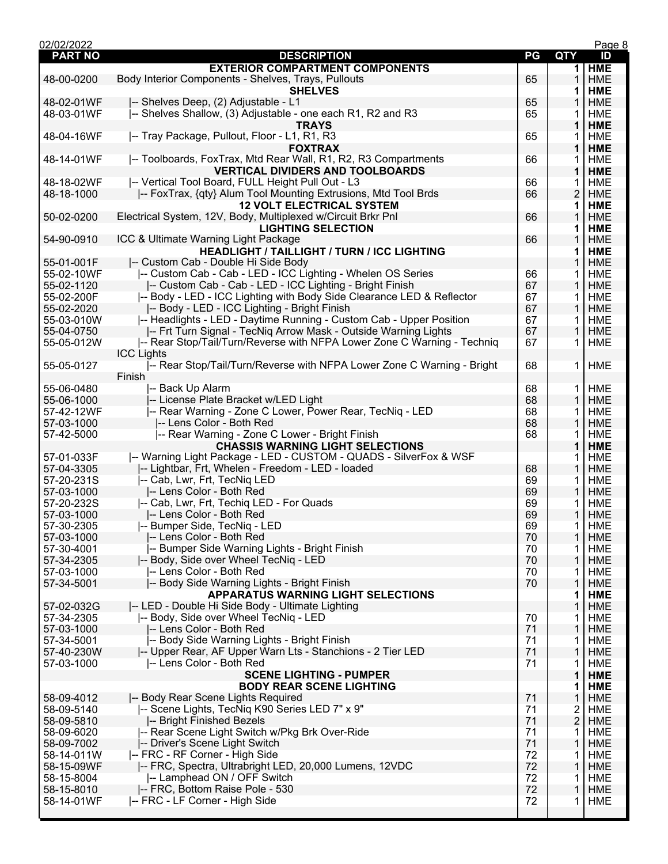| 02/02/2022     |                                                                         |    |                | Page 8     |
|----------------|-------------------------------------------------------------------------|----|----------------|------------|
| <b>PART NO</b> | <b>DESCRIPTION</b>                                                      | PG | QTY            | ID         |
|                | <b>EXTERIOR COMPARTMENT COMPONENTS</b>                                  |    | 1              | <b>HME</b> |
| 48-00-0200     | Body Interior Components - Shelves, Trays, Pullouts                     | 65 | 1              | <b>HME</b> |
|                | <b>SHELVES</b>                                                          |    | 1              | <b>HME</b> |
| 48-02-01WF     | -- Shelves Deep, (2) Adjustable - L1                                    | 65 | 1              | <b>HME</b> |
| 48-03-01WF     | -- Shelves Shallow, (3) Adjustable - one each R1, R2 and R3             | 65 | 1              | <b>HME</b> |
|                | <b>TRAYS</b>                                                            |    | 1              | <b>HME</b> |
| 48-04-16WF     | I-- Tray Package, Pullout, Floor - L1, R1, R3                           | 65 | 1              | <b>HME</b> |
|                | <b>FOXTRAX</b>                                                          |    | 1              | <b>HME</b> |
| 48-14-01WF     | -- Toolboards, FoxTrax, Mtd Rear Wall, R1, R2, R3 Compartments          | 66 |                | <b>HME</b> |
|                | <b>VERTICAL DIVIDERS AND TOOLBOARDS</b>                                 |    | 1              | <b>HME</b> |
| 48-18-02WF     | I-- Vertical Tool Board, FULL Height Pull Out - L3                      |    |                | <b>HME</b> |
|                | -- FoxTrax, {qty} Alum Tool Mounting Extrusions, Mtd Tool Brds          | 66 | 1              |            |
| 48-18-1000     |                                                                         | 66 | 2              | <b>HME</b> |
|                | <b>12 VOLT ELECTRICAL SYSTEM</b>                                        |    | 1              | <b>HME</b> |
| 50-02-0200     | Electrical System, 12V, Body, Multiplexed w/Circuit Brkr Pnl            | 66 | 1              | <b>HME</b> |
|                | <b>LIGHTING SELECTION</b>                                               |    | 1              | <b>HME</b> |
| 54-90-0910     | ICC & Ultimate Warning Light Package                                    | 66 | 1              | <b>HME</b> |
|                | <b>HEADLIGHT / TAILLIGHT / TURN / ICC LIGHTING</b>                      |    | 1              | <b>HME</b> |
| 55-01-001F     | I-- Custom Cab - Double Hi Side Body                                    |    | 1              | <b>HME</b> |
| 55-02-10WF     | -- Custom Cab - Cab - LED - ICC Lighting - Whelen OS Series             | 66 | 1              | <b>HME</b> |
| 55-02-1120     | -- Custom Cab - Cab - LED - ICC Lighting - Bright Finish                | 67 | 1              | <b>HME</b> |
| 55-02-200F     | -- Body - LED - ICC Lighting with Body Side Clearance LED & Reflector   | 67 | 1              | <b>HME</b> |
| 55-02-2020     | -- Body - LED - ICC Lighting - Bright Finish                            | 67 | 1              | <b>HME</b> |
| 55-03-010W     | -- Headlights - LED - Daytime Running - Custom Cab - Upper Position     | 67 | 1              | <b>HME</b> |
| 55-04-0750     | -- Frt Turn Signal - TecNiq Arrow Mask - Outside Warning Lights         | 67 | 1              | <b>HME</b> |
| 55-05-012W     | -- Rear Stop/Tail/Turn/Reverse with NFPA Lower Zone C Warning - Techniq | 67 | 1              | <b>HME</b> |
|                | <b>ICC Lights</b>                                                       |    |                |            |
| 55-05-0127     | -- Rear Stop/Tail/Turn/Reverse with NFPA Lower Zone C Warning - Bright  | 68 | 1              | <b>HME</b> |
|                | Finish                                                                  |    |                |            |
|                |                                                                         |    |                |            |
| 55-06-0480     | -- Back Up Alarm                                                        | 68 | 1              | <b>HME</b> |
| 55-06-1000     | -- License Plate Bracket w/LED Light                                    | 68 | 1              | <b>HME</b> |
| 57-42-12WF     | -- Rear Warning - Zone C Lower, Power Rear, TecNiq - LED                | 68 | 1              | <b>HME</b> |
| 57-03-1000     | -- Lens Color - Both Red                                                | 68 | 1              | <b>HME</b> |
| 57-42-5000     | -- Rear Warning - Zone C Lower - Bright Finish                          | 68 | 1              | <b>HME</b> |
|                | <b>CHASSIS WARNING LIGHT SELECTIONS</b>                                 |    | 1              | <b>HME</b> |
| 57-01-033F     | -- Warning Light Package - LED - CUSTOM - QUADS - SilverFox & WSF       |    | 1              | <b>HME</b> |
| 57-04-3305     | -- Lightbar, Frt, Whelen - Freedom - LED - loaded                       | 68 | 1              | <b>HME</b> |
| 57-20-231S     | -- Cab, Lwr, Frt, TecNiq LED                                            | 69 | 1              | <b>HME</b> |
| 57-03-1000     | -- Lens Color - Both Red                                                | 69 | 1              | <b>HME</b> |
| 57-20-232S     | -- Cab, Lwr, Frt, Techiq LED - For Quads                                | 69 | 1              | <b>HME</b> |
| 57-03-1000     | -- Lens Color - Both Red                                                | 69 | 1              | <b>HME</b> |
| 57-30-2305     | -- Bumper Side, TecNiq - LED                                            | 69 | 1              | HME        |
| 57-03-1000     | -- Lens Color - Both Red                                                | 70 | 1              | <b>HME</b> |
| 57-30-4001     | -- Bumper Side Warning Lights - Bright Finish                           | 70 | 1              | <b>HME</b> |
| 57-34-2305     | -- Body, Side over Wheel TecNiq - LED                                   | 70 | 1              | <b>HME</b> |
|                | -- Lens Color - Both Red                                                |    |                |            |
| 57-03-1000     |                                                                         | 70 | 1              | HME        |
| 57-34-5001     | -- Body Side Warning Lights - Bright Finish                             | 70 | 1              | <b>HME</b> |
|                | <b>APPARATUS WARNING LIGHT SELECTIONS</b>                               |    | 1              | <b>HME</b> |
| 57-02-032G     | -- LED - Double Hi Side Body - Ultimate Lighting                        |    | 1              | <b>HME</b> |
| 57-34-2305     | I-- Body, Side over Wheel TecNig - LED                                  | 70 | 1              | HME        |
| 57-03-1000     | -- Lens Color - Both Red                                                | 71 | 1              | <b>HME</b> |
| 57-34-5001     | -- Body Side Warning Lights - Bright Finish                             | 71 | 1              | <b>HME</b> |
| 57-40-230W     | -- Upper Rear, AF Upper Warn Lts - Stanchions - 2 Tier LED              | 71 | 1              | <b>HME</b> |
| 57-03-1000     | -- Lens Color - Both Red                                                | 71 | 1              | <b>HME</b> |
|                | <b>SCENE LIGHTING - PUMPER</b>                                          |    | 1              | <b>HME</b> |
|                | <b>BODY REAR SCENE LIGHTING</b>                                         |    | 1              | <b>HME</b> |
| 58-09-4012     | -- Body Rear Scene Lights Required                                      | 71 | 1              | <b>HME</b> |
| 58-09-5140     | -- Scene Lights, TecNiq K90 Series LED 7" x 9"                          | 71 | 2              | HME        |
| 58-09-5810     | -- Bright Finished Bezels                                               | 71 | $\overline{c}$ | <b>HME</b> |
| 58-09-6020     | -- Rear Scene Light Switch w/Pkg Brk Over-Ride                          | 71 | 1              | <b>HME</b> |
| 58-09-7002     | -- Driver's Scene Light Switch                                          | 71 | 1              | <b>HME</b> |
| 58-14-011W     | -- FRC - RF Corner - High Side                                          | 72 | 1              | HME        |
|                | -- FRC, Spectra, Ultrabright LED, 20,000 Lumens, 12VDC                  | 72 |                | <b>HME</b> |
| 58-15-09WF     |                                                                         |    | 1              |            |
| 58-15-8004     | -- Lamphead ON / OFF Switch                                             | 72 | 1              | HME        |
| 58-15-8010     | -- FRC, Bottom Raise Pole - 530                                         | 72 | 1              | HME        |
| 58-14-01WF     | -- FRC - LF Corner - High Side                                          | 72 | 1              | HME        |
|                |                                                                         |    |                |            |